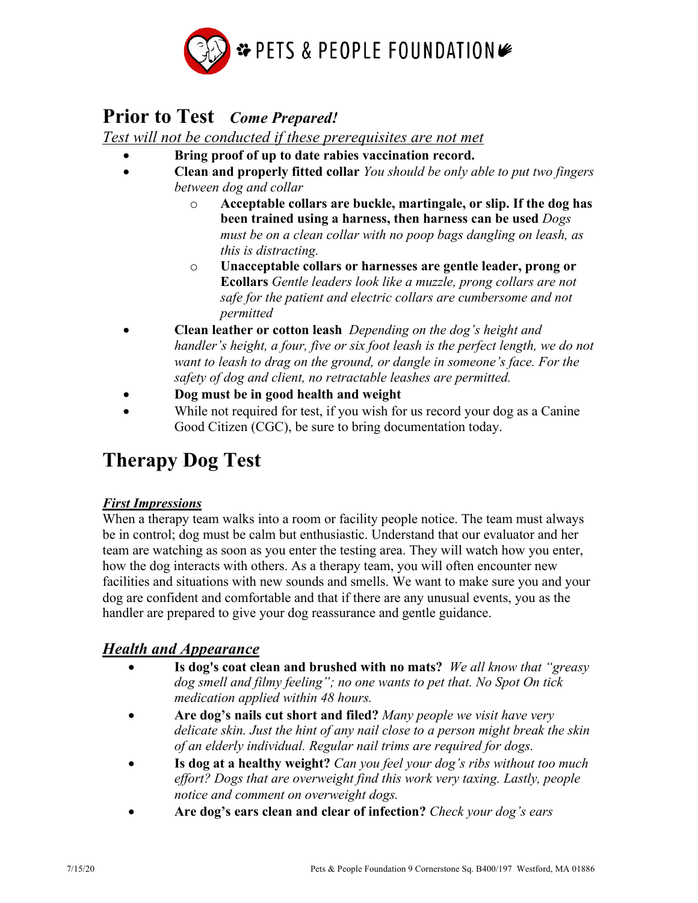

# **Prior to Test** *Come Prepared!*

*Test will not be conducted if these prerequisites are not met* 

- **Bring proof of up to date rabies vaccination record.**
- **Clean and properly fitted collar** *You should be only able to put two fingers between dog and collar* 
	- o **Acceptable collars are buckle, martingale, or slip. If the dog has been trained using a harness, then harness can be used** *Dogs must be on a clean collar with no poop bags dangling on leash, as this is distracting.*
	- o **Unacceptable collars or harnesses are gentle leader, prong or Ecollars** *Gentle leaders look like a muzzle, prong collars are not safe for the patient and electric collars are cumbersome and not permitted*
- **Clean leather or cotton leash** *Depending on the dog's height and handler's height, a four, five or six foot leash is the perfect length, we do not want to leash to drag on the ground, or dangle in someone's face. For the safety of dog and client, no retractable leashes are permitted.*
- **Dog must be in good health and weight**
- While not required for test, if you wish for us record your dog as a Canine Good Citizen (CGC), be sure to bring documentation today.

# **Therapy Dog Test**

### *First Impressions*

When a therapy team walks into a room or facility people notice. The team must always be in control; dog must be calm but enthusiastic. Understand that our evaluator and her team are watching as soon as you enter the testing area. They will watch how you enter, how the dog interacts with others. As a therapy team, you will often encounter new facilities and situations with new sounds and smells. We want to make sure you and your dog are confident and comfortable and that if there are any unusual events, you as the handler are prepared to give your dog reassurance and gentle guidance.

# *Health and Appearance*

- **Is dog's coat clean and brushed with no mats?** *We all know that "greasy dog smell and filmy feeling"; no one wants to pet that. No Spot On tick medication applied within 48 hours.*
- **Are dog's nails cut short and filed?** *Many people we visit have very delicate skin. Just the hint of any nail close to a person might break the skin of an elderly individual. Regular nail trims are required for dogs.*
- **Is dog at a healthy weight?** *Can you feel your dog's ribs without too much effort? Dogs that are overweight find this work very taxing. Lastly, people notice and comment on overweight dogs.*
- **Are dog's ears clean and clear of infection?** *Check your dog's ears*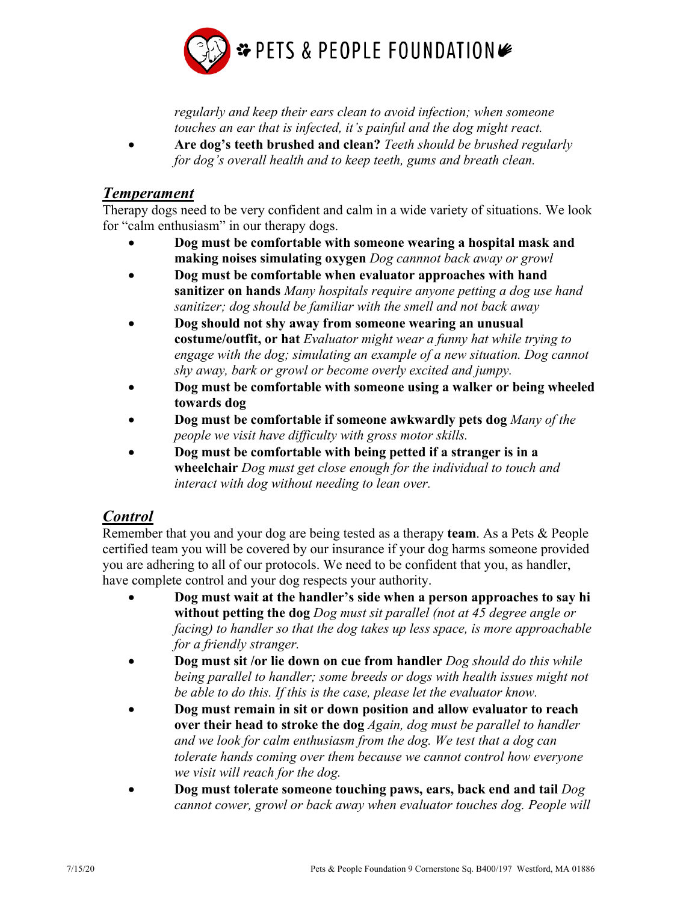

*regularly and keep their ears clean to avoid infection; when someone touches an ear that is infected, it's painful and the dog might react.* 

• **Are dog's teeth brushed and clean?** *Teeth should be brushed regularly for dog's overall health and to keep teeth, gums and breath clean.*

#### *Temperament*

Therapy dogs need to be very confident and calm in a wide variety of situations. We look for "calm enthusiasm" in our therapy dogs.

- **Dog must be comfortable with someone wearing a hospital mask and making noises simulating oxygen** *Dog cannnot back away or growl*
- **Dog must be comfortable when evaluator approaches with hand sanitizer on hands** *Many hospitals require anyone petting a dog use hand sanitizer; dog should be familiar with the smell and not back away*
- **Dog should not shy away from someone wearing an unusual costume/outfit, or hat** *Evaluator might wear a funny hat while trying to engage with the dog; simulating an example of a new situation. Dog cannot shy away, bark or growl or become overly excited and jumpy.*
- **Dog must be comfortable with someone using a walker or being wheeled towards dog**
- **Dog must be comfortable if someone awkwardly pets dog** *Many of the people we visit have difficulty with gross motor skills.*
- **Dog must be comfortable with being petted if a stranger is in a wheelchair** *Dog must get close enough for the individual to touch and interact with dog without needing to lean over.*

# *Control*

Remember that you and your dog are being tested as a therapy **team**. As a Pets & People certified team you will be covered by our insurance if your dog harms someone provided you are adhering to all of our protocols. We need to be confident that you, as handler, have complete control and your dog respects your authority.

- **Dog must wait at the handler's side when a person approaches to say hi without petting the dog** *Dog must sit parallel (not at 45 degree angle or facing) to handler so that the dog takes up less space, is more approachable for a friendly stranger.*
- **Dog must sit /or lie down on cue from handler** *Dog should do this while being parallel to handler; some breeds or dogs with health issues might not be able to do this. If this is the case, please let the evaluator know.*
- **Dog must remain in sit or down position and allow evaluator to reach over their head to stroke the dog** *Again, dog must be parallel to handler and we look for calm enthusiasm from the dog. We test that a dog can tolerate hands coming over them because we cannot control how everyone we visit will reach for the dog.*
- **Dog must tolerate someone touching paws, ears, back end and tail** *Dog cannot cower, growl or back away when evaluator touches dog. People will*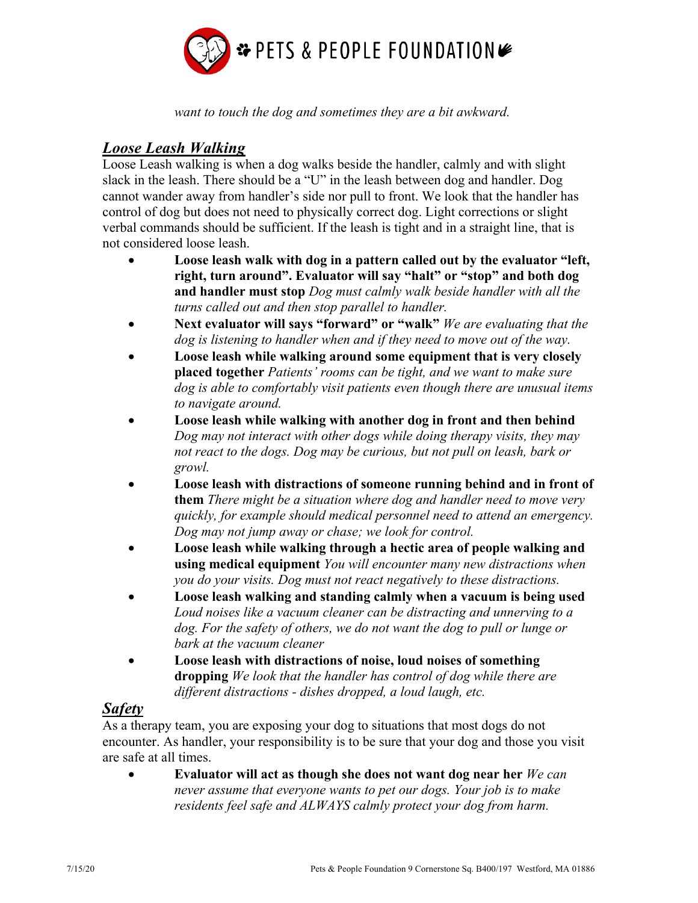

*want to touch the dog and sometimes they are a bit awkward.*

## *Loose Leash Walking*

Loose Leash walking is when a dog walks beside the handler, calmly and with slight slack in the leash. There should be a "U" in the leash between dog and handler. Dog cannot wander away from handler's side nor pull to front. We look that the handler has control of dog but does not need to physically correct dog. Light corrections or slight verbal commands should be sufficient. If the leash is tight and in a straight line, that is not considered loose leash.

- **Loose leash walk with dog in a pattern called out by the evaluator "left, right, turn around". Evaluator will say "halt" or "stop" and both dog and handler must stop** *Dog must calmly walk beside handler with all the turns called out and then stop parallel to handler.*
- **Next evaluator will says "forward" or "walk"** *We are evaluating that the dog is listening to handler when and if they need to move out of the way.*
- **Loose leash while walking around some equipment that is very closely placed together** *Patients' rooms can be tight, and we want to make sure dog is able to comfortably visit patients even though there are unusual items to navigate around.*
- **Loose leash while walking with another dog in front and then behind** *Dog may not interact with other dogs while doing therapy visits, they may not react to the dogs. Dog may be curious, but not pull on leash, bark or growl.*
- **Loose leash with distractions of someone running behind and in front of them** *There might be a situation where dog and handler need to move very quickly, for example should medical personnel need to attend an emergency. Dog may not jump away or chase; we look for control.*
- **Loose leash while walking through a hectic area of people walking and using medical equipment** *You will encounter many new distractions when you do your visits. Dog must not react negatively to these distractions.*
- **Loose leash walking and standing calmly when a vacuum is being used** *Loud noises like a vacuum cleaner can be distracting and unnerving to a dog. For the safety of others, we do not want the dog to pull or lunge or bark at the vacuum cleaner*
- **Loose leash with distractions of noise, loud noises of something dropping** *We look that the handler has control of dog while there are different distractions - dishes dropped, a loud laugh, etc.*

### *Safety*

As a therapy team, you are exposing your dog to situations that most dogs do not encounter. As handler, your responsibility is to be sure that your dog and those you visit are safe at all times.

• **Evaluator will act as though she does not want dog near her** *We can never assume that everyone wants to pet our dogs. Your job is to make residents feel safe and ALWAYS calmly protect your dog from harm.*